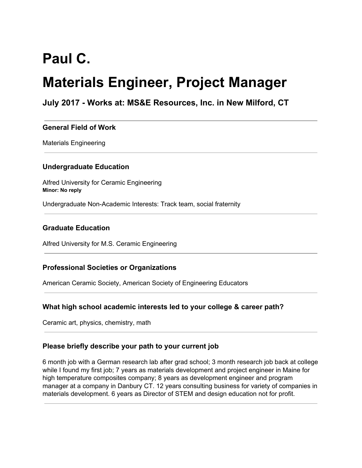# **Paul C.**

## **Materials Engineer, Project Manager**

### **July 2017 - Works at: MS&E Resources, Inc. in New Milford, CT**

#### **General Field of Work**

Materials Engineering

#### **Undergraduate Education**

Alfred University for Ceramic Engineering **Minor: No reply**

Undergraduate Non-Academic Interests: Track team, social fraternity

#### **Graduate Education**

Alfred University for M.S. Ceramic Engineering

#### **Professional Societies or Organizations**

American Ceramic Society, American Society of Engineering Educators

#### **What high school academic interests led to your college & career path?**

Ceramic art, physics, chemistry, math

#### **Please briefly describe your path to your current job**

6 month job with a German research lab after grad school; 3 month research job back at college while I found my first job; 7 years as materials development and project engineer in Maine for high temperature composites company; 8 years as development engineer and program manager at a company in Danbury CT. 12 years consulting business for variety of companies in materials development. 6 years as Director of STEM and design education not for profit.